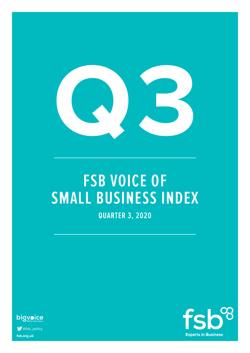

# **FSB VOICE OF SMALL BUSINESS INDEX**

**QUARTER 3, 2020**



**fsb.org.uk Ofsb\_policy** 

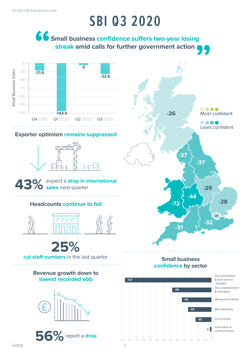# **SBI Q3 2020**

**SSMALL BUSINESS CONFIDENCE SUFFERS TWO-YEAR LOSING streak amid calls for further government action**



#### **Exporter optimism remains suppressed**



expect a **drop in international 43% sales** next quarter

#### **Headcounts continue to fall**



**cut staff numbers** in the last quarter **25%**

#### **Revenue growth down to lowest recorded ebb**







#### **Small business confidence by sector**

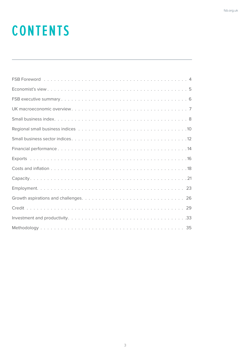## **CONTENTS**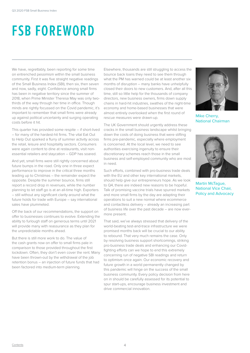## **FSB FOREWORD**

We have, regrettably, been reporting for some time on entrenched pessimism within the small business community. First it was five straight negative readings of the Small Business Index (SBI), then six, then seven and now, sadly, eight. Confidence among small firms has been in negative territory since the summer of 2018, when Prime Minister Theresa May was only twothirds of the way through her time in office. Though minds are rightly focussed on the Covid pandemic, it's important to remember that small firms were already up against political uncertainty and surging operating costs before it hit.

This quarter has provided some respite – if short-lived – for many of the hardest-hit firms. The vital Eat Out to Help Out sparked a flurry of summer activity across the retail, leisure and hospitality sectors. Consumers were again content to dine at restaurants, visit nonessential retailers and staycation – GDP has soared.

And yet, small firms were still rightly concerned about future bumps in the road. Only one in three expect performance to improve in the critical three months leading up to Christmas – the remainder expect the opposite. Despite the summer bounce, firms still report a record drop in revenues, while the number planning to let staff go is at an all-time high. Exporters – still without any significant clarity around what the future holds for trade with Europe – say international sales have plummeted.

Off the back of our recommendations, the support on offer to businesses continues to evolve. Extending the ability to furlough staff on generous terms until 2021 will provide many with reassurance as they plan for the unpredictable months ahead.

But there is still more work to do. The value of the cash grants now on offer to small firms pale in comparison to those provided throughout the first lockdown. Often, they don't even cover the rent. Many have been thrown-out by the withdrawal of the job retention bonus – an injection of future funds that had been factored into medium-term planning.

Elsewhere, thousands are still struggling to access the bounce back loans they need to see them through what the PM has warned could be at least another six months of disruption – many banks have unhelpfully closed their doors to new customers. And, after all this time, still so little help for the thousands of company directors, new business owners, firms down supply chains in hard-hit industries, swathes of the night-time economy and home-based businesses that were almost entirely overlooked when the first round of rescue measures were drawn-up.

The UK Government should urgently address these cracks in the small business landscape whilst bringing down the costs of doing business that were stifling firms pre-pandemic, especially where employment is concerned. At the local level, we need to see authorities exercising ingenuity to ensure their discretionary schemes reach those in the small business and self-employed community who are most in need.

Such efforts, combined with pro-business trade deals with the EU and other key international markets, should help give our entrepreneurs hope. As we look to Q4, there are indeed new reasons to be hopeful. Talk of promising vaccine trials have spurred markets and more small firms by the day are adapting their operations to suit a new normal where ecommerce and contactless delivery – already an increasing part of business life over the past decade – are now evermore present.

That said, we've always stressed that delivery of the world-beating test-and-trace infrastructure we were promised months back will be crucial to our ability to rebound. That very much remains the case. Only by resolving business support shortcomings, striking pro-business trade deals and enhancing our Covidfighting efforts can we hope to end this extremely concerning run of negative SBI readings and return to optimism once again. Our economic recovery and future growth in a world permanently changed by this pandemic will hinge on the success of the small business community. Every policy decision from here on in should be carefully assessed for its potential to spur start-ups, encourage business investment and drive commercial innovation.



Mike Cherry, National Chairman



Martin McTague, National Vice Chair, Policy and Advocacy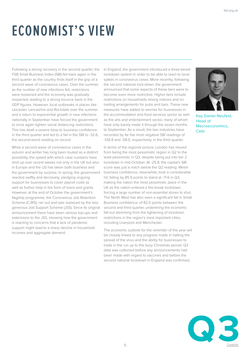# **ECONOMIST'S VIEW**

Following a strong recovery in the second quarter, the FSB Small Business Index (SBI) fell back again in the third quarter as the country finds itself in the grip of a second wave of coronavirus cases. Over the summer, as the number of new infections fell, restrictions were loosened and the economy was gradually reopened, leading to a strong bounce back in the GDP figures. However, local outbreaks in places like Leicester, Lancashire and Rochdale over the summer and a return to exponential growth in new infections nationally in September have forced the government to once again tighten social distancing restrictions. This has dealt a severe blow to business confidence in the third quarter and led to a fall in the SBI to -32.6, the second-worst reading on record.

While a second wave of coronavirus cases in the autumn and winter has long been touted as a distinct possibility, the speed with which case numbers have shot up over recent weeks not only in the UK but also in Europe and the US has taken both business and the government by surprise. In spring, the government reacted swiftly and decisively, pledging ongoing support for businesses to cover payroll costs as well as further help in the form of loans and grants. However, at the end of October the government's flagship programme, the Coronavirus Job Retention Scheme (CJRS), ran out and was replaced by the less generous Job Support Scheme (JSS). Since its original announcement there have been various top-ups and extensions to the JSS, showing how the government is reacting to concerns that a lack of pandemic support might lead to a sharp decline in household incomes and aggregate demand.

In England, the government introduced a three-tiered lockdown system in order to be able to react to local spikes in coronavirus cases. More recently, following the second national lock-down, the government announced that some aspects of these tiers were to become even more restrictive. Higher tiers include restrictions on households mixing indoors and on trading arrangements for pubs and bars. These new measures have added to worries for businesses in the accommodation and food services sector as well as the arts and entertainment sector, many of whom have only barely made it through the seven months to September. As a result, the two industries have recorded by far the most negative SBI readings of -126.8 and -58.0, respectively, in the third quarter.

In terms of the regional picture, London has moved from being the most pessimistic region in Q2 to the least pessimistic in Q3, despite being put into tier 2 lockdown in mid-October. At -25.8, the capital's SBI score was just a notch below the Q2 reading. Welsh business confidence, meanwhile, took a considerable hit, falling by 85.9 points to stand at -71.6 in Q3, making the nation the most pessimistic place in the UK as the nation entered a fire-break lockdown, forcing a large number of non-essential stores to shut. The North West has also seen a significant fall in Small Business confidence, of 82.0 points between the second and third quarter, underlining the economic fall-out stemming from the tightening of lockdown restrictions in the region's most important cities, including Liverpool and Manchester.

The economic outlook for the reminder of the year will be closely linked to any progress made in halting the spread of the virus and the ability for businesses to trade in the run up to the busy Christmas period. Q3 data was collected before any announcements had been made with regard to vaccines and before the second national lockdown in England was confirmed..



Kay Daniel Neufeld, Head of Macroeconomics, Cebr

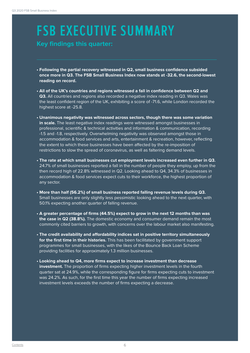## **FSB EXECUTIVE SUMMARY**

#### **SMALL BUSINES INDEX**<br> **Key findings this quarter:**<br> **SMALL BUSINESS**

- **Following the partial recovery witnessed in Q2, small business confidence subsided once more in Q3. The FSB Small Business Index now stands at -32.6, the second-lowest reading on record.**
- **All of the UK's countries and regions witnessed a fall in confidence between Q2 and Q3.** All countries and regions also recorded a negative index reading in Q3. Wales was the least confident region of the UK, exhibiting a score of -71.6, while London recorded the highest score at -25.8.
- **Unanimous negativity was witnessed across sectors, though there was some variation in scale.** The least negative index readings were witnessed amongst businesses in professional, scientific & technical activities and information & communication, recording -1.5 and -1.8, respectively. Overwhelming negativity was observed amongst those in accommodation & food services and arts, entertainment & recreation, however, reflecting the extent to which these businesses have been affected by the re-imposition of restrictions to slow the spread of coronavirus, as well as faltering demand levels.
- **The rate at which small businesses cut employment levels increased even further in Q3.**  24.7% of small businesses reported a fall in the number of people they employ, up from the then record high of 22.8% witnessed in Q2. Looking ahead to Q4, 34.3% of businesses in accommodation & food services expect cuts to their workforce, the highest proportion of any sector.
- **More than half (56.2%) of small business reported falling revenue levels during Q3.**  Small businesses are only slightly less pessimistic looking ahead to the next quarter, with 50.1% expecting another quarter of falling revenue.
- **A greater percentage of firms (44.5%) expect to grow in the next 12 months than was the case in Q2 (38.8%).** The domestic economy and consumer demand remain the most commonly cited barriers to growth, with concerns over the labour market also manifesting.
- **The credit availability and affordability indices sat in positive territory simultaneously for the first time in their histories.** This has been facilitated by government support programmes for small businesses, with the likes of the Bounce Back Loan Scheme providing facilities for approximately 1.3 million businesses.
- **Looking ahead to Q4, more firms expect to increase investment than decrease investment.** The proportion of firms expecting higher investment levels in the fourth quarter sat at 24.9%, while the corresponding figure for firms expecting cuts to investment was 24.2%. As such, for the first time this year the number of firms expecting increased investment levels exceeds the number of firms expecting a decrease.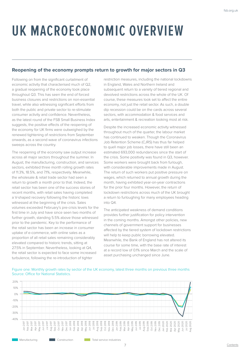# **UK MACROECONOMIC OVERVIEW**

#### **Reopening of the economy prompts return to growth for major sectors in Q3**

Following on from the significant curtailment of economic activity that characterised much of Q2, a gradual reopening of the economy took place throughout Q3. This has seen the end of forced business closures and restrictions on non-essential travel, while also witnessing significant efforts from both the public and private sector to re-stimulate consumer activity and confidence. Nevertheless, as the latest round of the FSB Small Business Index suggests, the positive effects of the reopening of the economy for UK firms were outweighed by the renewed tightening of restrictions from September onwards, as a second wave of coronavirus infections sweeps across the country.

The reopening of the economy saw output increase across all major sectors throughout the summer. In August, the manufacturing, construction, and services sectors, exhibited three month rolling growth rates of 11.3%, 18.5%, and 7.1%, respectively. Meanwhile, the wholesale & retail trade sector had seen a return to growth a month prior to that. Indeed, the retail sector has been one of the success stories of recent months, with retail sales having completed a V-shaped recovery following the historic lows witnessed at the beginning of the crisis. Sales volumes exceeded February's pre-crisis levels for the first time in July and have since seen two months of further growth, standing 5.5% above those witnessed prior to the pandemic. Key to the performance of the retail sector has been an increase in consumer uptake of e-commerce, with online sales as a proportion of all retail sales remaining considerably elevated compared to historic trends, sitting at 27.5% in September. Nevertheless, looking at Q4, the retail sector is expected to face some increased turbulence, following the re-introduction of tighter

restriction measures, including the national lockdowns in England, Wales and Northern Ireland and subsequent return to a variety of tiered regional and devolved restrictions across the whole of the UK. Of course, these measures look set to affect the entire economy, not just the retail sector. As such, a double dip recession could be on the cards across several sectors, with accommodation & food services and arts, entertainment & recreation looking most at risk.

Despite the increased economic activity witnessed throughout much of the quarter, the labour market has continued to weaken. Though the Coronavirus Job Retention Scheme (CJRS) has thus far helped to quell major job losses, there have still been an estimated 693,000 redundancies since the start of the crisis. Some positivity was found in Q3, however. Some workers were brought back from furlough, with considerable improvements made in August. The return of such workers put positive pressure on wages, which returned to annual growth during the month, having exhibited year-on-year contractions for the prior four months. However, the return of lockdown restrictions across much of the UK brought a return to furloughing for many employees heading into Q4.

The anticipated weakness of demand conditions provides further justification for policy intervention in the coming months. Amongst other policies, new channels of government support for businesses affected by the tiered system of lockdown restrictions will help to keep public borrowing elevated. Meanwhile, the Bank of England has not altered its course for some time, with the base rate of interest at a record low of 0.1% since March and the scale of asset purchasing unchanged since June.

Figure one: Monthly growth rates by sector of the UK economy, latest three months on previous three months Source: Office for National Statistics.



7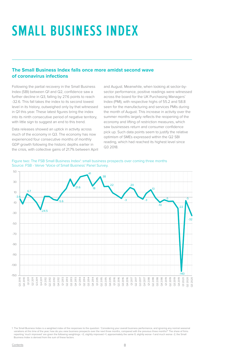# **SMALL BUSINESS INDEX**

#### **The Small Business Index falls once more amidst second wave of coronavirus infections**

Following the partial recovery in the Small Business Index (SBI) between Q1 and Q2, confidence saw a further decline in Q3, falling by 27.6 points to reach -32.6. This fall takes the index to its second lowest level in its history, outweighed only by that witnessed in Q1 this year. These latest figures bring the index into its ninth consecutive period of negative territory, with little sign to suggest an end to this trend.

Data releases showed an uptick in activity across much of the economy in Q3. The economy has now experienced four consecutive months of monthly GDP growth following the historic depths earlier in the crisis, with collective gains of 21.7% between April and August. Meanwhile, when looking at sector-bysector performance, positive readings were witnessed across the board for the UK Purchasing Managers' Index (PMI), with respective highs of 55.2 and 58.8 seen for the manufacturing and services PMIs during the month of August. This increase in activity over the summer months largely reflects the reopening of the economy and lifting of restriction measures, which saw businesses return and consumer confidence pick up. Such data points seem to justify the relative optimism of SMEs expressed within the Q2 SBI reading, which had reached its highest level since Q3 2018.





1. The Small Business Index is a weighted index of the responses to the question: 'Considering your overall business performance, and ignoring any normal seasonal variations at this time of the year, how do you view business prospects over the next three months, compared with the previous three months?' The share of firms<br>reporting 'much improved' are given the following weightings: Business Index is derived from the sum of these factors.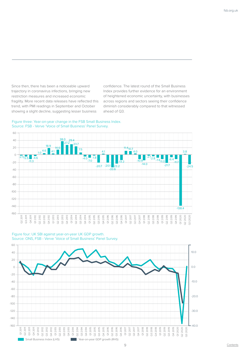Since then, there has been a noticeable upward trajectory in coronavirus infections, bringing new restriction measures and increased economic fragility. More recent data releases have reflected this trend, with PMI readings in September and October showing a slight decline, suggesting lesser business

confidence. The latest round of the Small Business Index provides further evidence for an environment of heightened economic uncertainty, with businesses across regions and sectors seeing their confidence diminish considerably compared to that witnessed ahead of Q3.







Figure four: UK SBI against year-on-year UK GDP growth. Source: ONS, FSB - Verve 'Voice of Small Business' Panel Survey.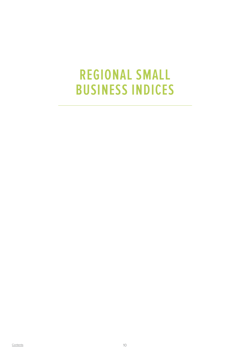#### **REGIONAL SMALL BUSINESS INDICES**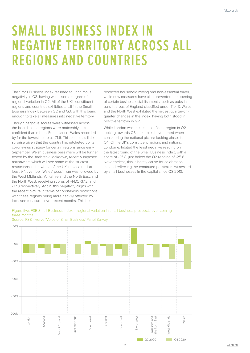## **SMALL BUSINESS INDEX IN NEGATIVE TERRITORY ACROSS ALL REGIONS AND COUNTRIES**

The Small Business Index returned to unanimous negativity in Q3, having witnessed a degree of regional variation in Q2. All of the UK's constituent regions and countries exhibited a fall in the Small Business Index between Q2 and Q3, with this being enough to take all measures into negative territory.

Though negative scores were witnessed across the board, some regions were noticeably less confident than others. For instance, Wales recorded by far the lowest score at -71.6. This comes as little surprise given that the country has ratcheted up its coronavirus strategy for certain regions since early September. Welsh business pessimism will be further tested by the 'firebreak' lockdown, recently imposed nationwide, which will see some of the strictest restrictions in the whole of the UK in place until at least 9 November. Wales' pessimism was followed by the West Midlands, Yorkshire and the North East, and the North West, receiving scores of -44.0, -37.2, and -37.0 respectively. Again, this negativity aligns with the recent picture in terms of coronavirus restrictions, with these regions being more heavily affected by localised measures over recent months. This has

restricted household mixing and non-essential travel, while new measures have also prevented the opening of certain business establishments, such as pubs in bars in areas of England classified under Tier 3. Wales and the North West exhibited the largest quarter-onquarter changes in the index, having both stood in positive territory in Q2.

While London was the least confident region in Q2 looking towards Q3, the tables have turned when considering the national picture looking ahead to Q4. Of the UK's constituent regions and nations, London exhibited the least negative reading on the latest round of the Small Business Index, with a score of -25.8, just below the Q2 reading of -25.6 Nevertheless, this is barely cause for celebration, instead reflecting the continued pessimism witnessed by small businesses in the capital since Q3 2018.

Figure five: FSB Small Business Index – regional variation in small business prospects over coming three months. Source: FSB - Verve 'Voice of Small Business' Panel Survey.

50%

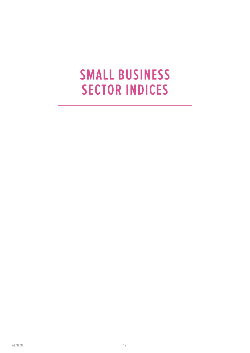#### **SMALL BUSINESS SECTOR INDICES**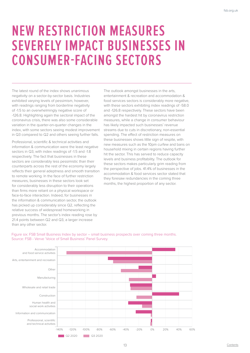## **NEW RESTRICTION MEASURES SEVERELY IMPACT BUSINESSES IN CONSUMER-FACING SECTORS**

The latest round of the index shows unanimous negativity on a sector-by-sector basis. Industries exhibited varying levels of pessimism, however, with readings ranging from borderline negativity of -1.5 to an overwhelmingly negative score of -126.8. Highlighting again the sectoral impact of the coronavirus crisis, there was also some considerable variation in the quarter-on-quarter changes in the index, with some sectors seeing modest improvement in Q3 compared to Q2 and others seeing further falls.

Professional, scientific & technical activities and information & communication were the least negative sectors in Q3, with index readings of -1.5 and -1.8 respectively. The fact that businesses in these sectors are considerably less pessimistic than their counterparts across the rest of the economy largely reflects their general adeptness and smooth transition to remote working. In the face of further restriction measures, businesses in these sectors look set for considerably less disruption to their operations than firms more reliant on a physical workspace or face-to-face interaction. Indeed, for businesses in the information & communication sector, the outlook has picked up considerably since Q2, reflecting the relative success of widespread homeworking in previous months. The sector's index reading rose by 21.4 points between Q2 and Q3, a larger increase than any other sector.

The outlook amongst businesses in the arts. entertainment & recreation and accommodation & food services sectors is considerably more negative, with these sectors exhibiting index readings of -58.0 and -126.8 respectively. These sectors have been amongst the hardest hit by coronavirus restriction measures, while a change in consumer behaviour has likely impacted such businesses' revenue streams due to cuts in discretionary, non-essential spending. The effect of restriction measures on these businesses shows little sign of respite, with new measures such as the 10pm curfew and bans on household mixing in certain regions having further hit the sector. This has served to reduce capacity levels and business profitability. The outlook for these sectors makes particularly grim reading from the perspective of jobs. 41.4% of businesses in the accommodation & food services sector stated that they foresaw redundancies in the coming three months, the highest proportion of any sector.



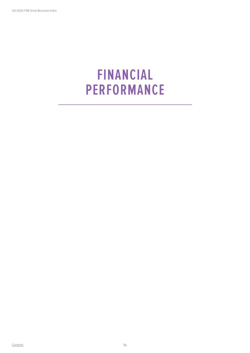## **FINANCIAL PERFORMANCE**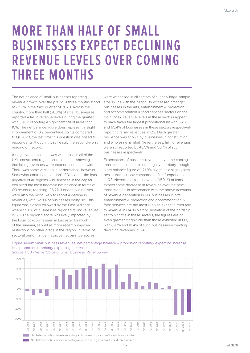#### **MORE THAN HALF OF SMALL BUSINESSES EXPECT DECLINING REVENUE LEVELS OVER COMING THREE MONTHS**

The net balance of small businesses reporting revenue growth over the previous three months stood at -25.1% in the third quarter of 2020. Across the country, more than half (56.2%) of small businesses reported a fall in revenue levels during the quarter, with 39.8% reporting a significant fall of more than 10%. The net balance figure does represent a slight improvement of 0.9 percentage points compared to Q1 2020, the last time this question was posed to respondents, though it is still easily the second-worst reading on record.

A negative net balance was witnessed in all of the UK's constituent regions and countries, showing that falling revenues were experienced nationwide. There was some variation in performance, however. Somewhat contrary to London's SBI score – the least negative of all regions – businesses in the capital exhibited the most negative net balance in terms of Q3 revenue, reaching -36.2%. London businesses were also the most likely to report a decline in revenues, with 62.8% of businesses doing so. This figure was closely followed by the East Midlands, where 59.0% of businesses reported falling revenues in Q3. The region's score was likely impacted by the local lockdowns seen in Leicester for much of the summer, as well as more recently imposed restrictions on other areas in the region. In terms of sectoral performance, negative net balance scores

were witnessed in all sectors of suitably large sample size. In line with the negativity witnessed amongst businesses in the arts, entertainment & recreation and accommodation & food services sectors on the main index, revenue levels in these sectors appear to have taken the largest proportional hit with 66.1% and 65.4% of businesses in these sectors respectively reporting falling revenues in Q3. Much greater resilience was shown by businesses in construction and wholesale & retail. Nevertheless, falling revenues were still reported by 43.5% and 50.7% of such businesses respectively.

Expectations of business revenues over the coming three months remain in net negative territory, though a net balance figure of -21.9% suggests a slightly less pessimistic outlook compared to firms' experiences in Q3. Nevertheless, just over half (50.1%) of firms expect some decrease in revenues over the next three months. In accordance with the above accounts of revenue generation in Q3, businesses in arts, entertainment & recreation and accommodation & food services are the most likely to expect further falls to revenue in Q4. In a stark illustration of the hardship set to hit firms in these sectors, the figures are of even greater magnitude than those exhibited in Q3, with 69.7% and 81.4% of such businesses expecting declining revenues in Q4.





**Net balance of businesses reporting an increase in gross profit - next three months**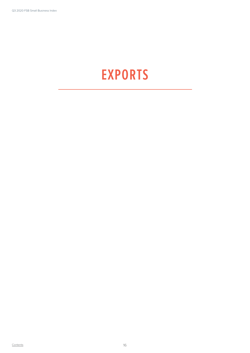## **EXPORTS**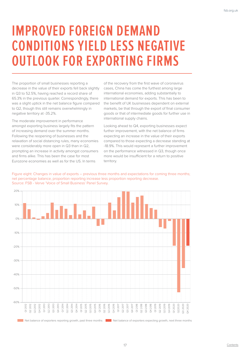## **IMPROVED FOREIGN DEMAND CONDITIONS YIELD LESS NEGATIVE OUTLOOK FOR EXPORTING FIRMS**

The proportion of small businesses reporting a decrease in the value of their exports fell back slightly in Q3 to 52.5%, having reached a record share of 65.3% in the previous quarter. Correspondingly, there was a slight uptick in the net balance figure compared to Q2, though this still remains overwhelmingly in negative territory at -35.2%.

The moderate improvement in performance amongst exporting business largely fits the pattern of increasing demand over the summer months. Following the reopening of businesses and the relaxation of social distancing rules, many economies were considerably more open in Q3 than in Q2, prompting an increase in activity amongst consumers and firms alike. This has been the case for most Eurozone economies as well as for the US. In terms

of the recovery from the first wave of coronavirus cases, China has come the furthest among large international economies, adding substantially to international demand for exports. This has been to the benefit of UK businesses dependent on external markets, be that through the export of final consumer goods or that of intermediate goods for further use in international supply chains.

Looking ahead to Q4, exporting businesses expect further improvement, with the net balance of firms expecting an increase in the value of their exports compared to those expecting a decrease standing at -18.9%. This would represent a further improvement on the performance witnessed in Q3, though once more would be insufficient for a return to positive territory.

Figure eight: Changes in value of exports – previous three months and expectations for coming three months; net percentage balance, proportion reporting increase less proportion reporting decrease. Source: FSB - Verve 'Voice of Small Business' Panel Survey.

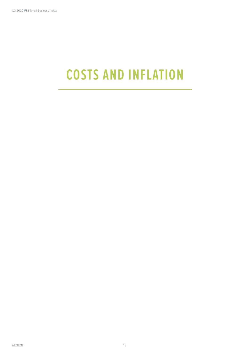# **COSTS AND INFLATION**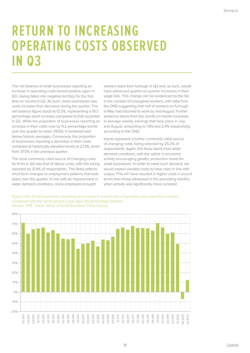#### **RETURN TO INCREASING OPERATING COSTS OBSERVED IN Q3**

The net balance of small businesses reporting an increase in operating costs turned positive again in Q3, having fallen into negative territory for the first time on record in Q2. As such, more businesses saw costs increase than decrease during the quarter. The net balance figure stood at 12.2%, representing a 19.3 percentage point increase compared to that recorded in Q2. While the proportion of businesses reporting an increase in their costs rose by 9.2 percentage points over the quarter to reach 39.6%, it remained well below historic averages. Conversely, the proportion of businesses reporting a decrease in their costs remained at historically elevated levels at 27.3%, down from 37.5% in the previous quarter.

The most commonly cited source of changing costs for firms in Q3 was that of labour costs, with this being reported by 31.4% of respondents. This likely reflects short-term changes to employment patterns that took place over the quarter. In line with an improvement in wider demand conditions, many employers brought

workers back from furlough in Q3 and, as such, would have witnessed quarter-on-quarter increases in their wage bills. This change can be evidenced by the fall in the number of furloughed workers, with data from the ONS suggesting that half of workers on furlough in May had returned to work by mid-August. Further evidence stems from the month-on-month increases in average weekly earnings that took place in July and August, amounting to 1.6% and 2.4% respectively, according to the ONS.

Inputs represent a further commonly cited source of changing costs, being selected by 25.2% of respondents. Again, this likely stems from wider demand conditions, with the uptick in economic activity encouraging greater production levels for small businesses. In order to meet such demand, we would expect variable costs to have risen in line with output. This will have resulted in higher costs in pound terms than those witnessed in the preceding months, when activity was significantly more curtailed.

Figure nine: Small businesses reporting an increase in overall cost of operation over past three months, compared with the same period a year ago; net percentage balance. Source: FSB - Verve 'Voice of Small Business' Panel Survey.

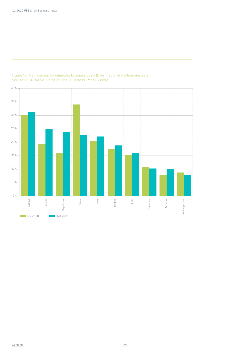

#### Figure 10: Main causes for changing business costs (firms may give multiple answers). Source: FSB - Verve 'Voice of Small Business' Panel Survey.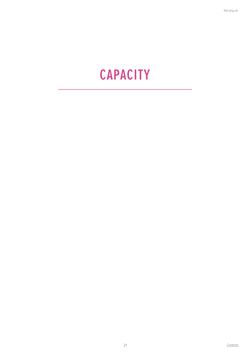#### **CAPACITY**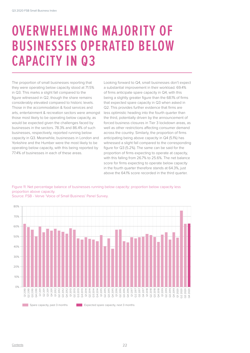#### **OVERWHELMING MAJORITY OF BUSINESSES OPERATED BELOW CAPACITY IN Q3**

The proportion of small businesses reporting that they were operating below capacity stood at 71.5% in Q3. This marks a slight fall compared to the figure witnessed in Q2, though the share remains considerably elevated compared to historic levels. Those in the accommodation & food services and arts, entertainment & recreation sectors were amongst those most likely to be operating below capacity, as would be expected given the challenges faced by businesses in the sectors. 78.3% and 86.4% of such businesses, respectively, reported running below capacity in Q3. Meanwhile, businesses in London and Yorkshire and the Humber were the most likely to be operating below capacity, with this being reported by 77.4% of businesses in each of these areas.

Looking forward to Q4, small businesses don't expect a substantial improvement in their workload. 69.4% of firms anticipate spare capacity in Q4, with this being a slightly greater figure than the 68.1% of firms that expected spare capacity in Q3 when asked in Q2. This provides further evidence that firms are less optimistic heading into the fourth quarter than the third, potentially driven by the announcement of forced business closures in Tier 3 lockdown areas, as well as other restrictions affecting consumer demand across the country. Similarly, the proportion of firms anticipating being above capacity in Q4 (5.1%) has witnessed a slight fall compared to the corresponding figure for Q3 (5.2%). The same can be said for the proportion of firms expecting to operate at capacity, with this falling from 26.7% to 25.6%. The net balance score for firms expecting to operate below capacity in the fourth quarter therefore stands at 64.3%, just above the 64.1% score recorded in the third quarter.

Figure 11: Net percentage balance of businesses running below capacity: proportion below capacity less proportion above capacity.



Source: FSB - Verve 'Voice of Small Business' Panel Survey.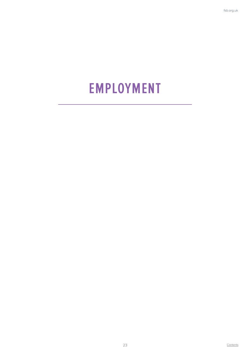### **EMPLOYMENT**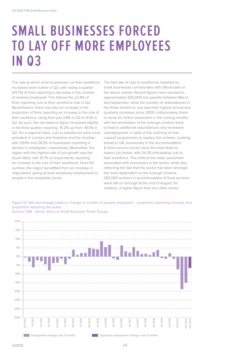#### **SMALL BUSINESSES FORCED TO LAY OFF MORE EMPLOYEES IN Q3**

The rate at which small businesses cut their workforce increased even further in Q3, with nearly a quarter (24.7%) of firms reporting a decrease in the number of workers employed. This follows the 22.8% of firms reporting cuts to their workforce size in Q2. Nevertheless, there was also an increase in the proportion of firms reporting an increase in the size of their workforce, rising from just 3.8% in Q2 to 9.5% in Q3. As such, the net balance figure increased slightly in the third quarter, reaching -15.2% up from -19.0% in Q2. On a regional basis, cuts to workforces were most prevalent in London and Yorkshire and the Humber, with 29.8% and 28.0% of businesses reporting a decline in employees, respectively. Meanwhile, the region with the highest rate of job growth was the South West, with 15.7% of respondents reporting an increase to the size of their workforce. Over the summer, the region benefitted from an increase in 'staycations' giving at least temporary employment to people in the hospitality sector.

The fast rate of cuts to workforces reported by small businesses corroborates with official data on the labour market. Recent figures have pointed to approximately 693,000 lost payrolls between March and September, while the number of redundancies in the three months to July saw their highest annual and quarterly increases since 2009. Unfortunately, there is cause for further pessimism in the coming months, with the termination of the furlough scheme likely to lead to additional redundancies and increased unemployment, in spite of the outlining of new support programmes to replace the scheme. Looking ahead to Q4, businesses in the accommodation & food services sector were the most likely to expect job losses, with 34.3% anticipating cuts to their workforce. This reflects the wider pessimism associated with businesses in the sector, while also reflecting the fact that the sector has been amongst the most dependent on the furlough scheme. 593,000 workers in accommodation & food services were still on furlough at the end of August, for instance, a higher figure than any other sector.

Figure 12: Net percentage balance change in number of people employed – proportion reporting increase less proportion reporting decrease.



Source: FSB - Verve 'Voice of Small Business' Panel Survey.

**Contents**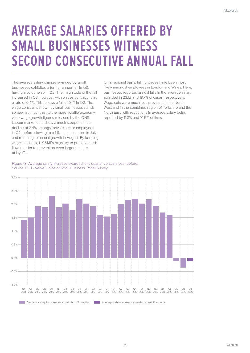## **AVERAGE SALARIES OFFERED BY SMALL BUSINESSES WITNESS SECOND CONSECUTIVE ANNUAL FALL**

The average salary change awarded by small businesses exhibited a further annual fall in Q3, having also done so in Q2. The magnitude of the fall increased in Q3, however, with wages contracting at a rate of 0.4%. This follows a fall of 0.1% in Q2. The wage constraint shown by small businesses stands somewhat in contrast to the more volatile economywide wage growth figures released by the ONS. Labour market data show a much steeper annual decline of 2.4% amongst private sector employees in Q2, before slowing to a 1.1% annual decline in July, and returning to annual growth in August. By keeping wages in check, UK SMEs might try to preserve cash flow in order to prevent an even larger number of layoffs.

On a regional basis, falling wages have been most likely amongst employees in London and Wales. Here, businesses reported annual falls in the average salary awarded in 23.1% and 19.7% of cases, respectively. Wage cuts were much less prevalent in the North West and in the combined region of Yorkshire and the North East, with reductions in average salary being reported by 11.8% and 10.5% of firms.



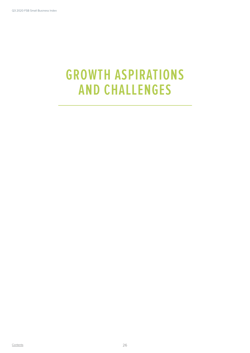## **GROWTH ASPIRATIONS AND CHALLENGES**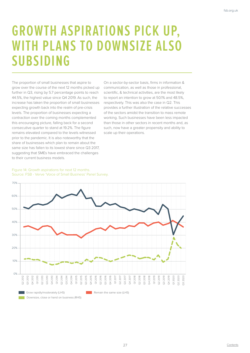## **GROWTH ASPIRATIONS PICK UP, WITH PLANS TO DOWNSIZE ALSO SUBSIDING**

The proportion of small businesses that aspire to grow over the course of the next 12 months picked up further in Q3, rising by 5.7 percentage points to reach 44.5%, the highest value since Q4 2019. As such, the increase has taken the proportion of small businesses expecting growth back into the realm of pre-crisis levels. The proportion of businesses expecting a contraction over the coming months complemented this encouraging picture, falling back for a second consecutive quarter to stand at 19.2%. The figure remains elevated compared to the levels witnessed prior to the pandemic. It is also noteworthy that the share of businesses which plan to remain about the same size has fallen to its lowest share since Q3 2017, suggesting that SMEs have embraced the challenges to their current business models.

On a sector-by-sector basis, firms in information & communication, as well as those in professional, scientific, & technical activities, are the most likely to report an intention to grow at 50.1% and 48.5%, respectively. This was also the case in Q2. This provides a further illustration of the relative successes of the sectors amidst the transition to mass remote working. Such businesses have been less impacted than those in other sectors in recent months and, as such, now have a greater propensity and ability to scale up their operations.

#### Figure 14: Growth aspirations for next 12 months. Source: FSB - Verve 'Voice of Small Business' Panel Survey.

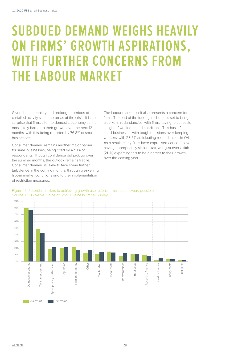### **SUBDUED DEMAND WEIGHS HEAVILY ON FIRMS' GROWTH ASPIRATIONS, WITH FURTHER CONCERNS FROM THE LABOUR MARKET**

Given the uncertainty and prolonged periods of curtailed activity since the onset of the crisis, it is no surprise that firms cite the domestic economy as the most likely barrier to their growth over the next 12 months, with this being reported by 76.8% of small businesses.

Consumer demand remains another major barrier for small businesses, being cited by 42.3% of respondents. Though confidence did pick up over the summer months, the outlook remains fragile. Consumer demand is likely to face some further turbulence in the coming months, through weakening labour market conditions and further implementation of restriction measures.

The labour market itself also presents a concern for firms. The end of the furlough scheme is set to bring a spike in redundancies, with firms having to cut costs in light of weak demand conditions. This has left small businesses with tough decisions over keeping workers, with 28.5% anticipating redundancies in Q4. As a result, many firms have expressed concerns over having appropriately skilled staff, with just over a fifth (21.1%) expecting this to be a barrier to their growth over the coming year.



Figure 15: Potential barriers to achieving growth aspirations – multiple answers possible. Source: FSB - Verve 'Voice of Small Business' Panel Survey.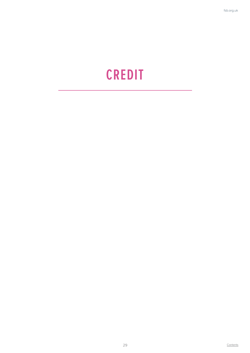## **CREDIT**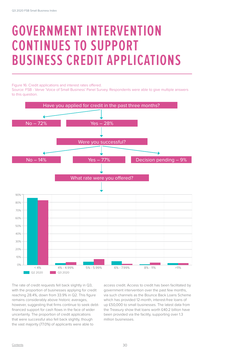### **GOVERNMENT INTERVENTION CONTINUES TO SUPPORT BUSINESS CREDIT APPLICATIONS**

Figure 16: Credit applications and interest rates offered. Source: FSB - Verve 'Voice of Small Business' Panel Survey. Respondents were able to give multiple answers to this question.



The rate of credit requests fell back slightly in Q3, with the proportion of businesses applying for credit reaching 28.4%, down from 33.9% in Q2. This figure remains considerably above historic averages, however, suggesting that firms continue to seek debtfinanced support for cash flows in the face of wider uncertainty. The proportion of credit applications that were successful also fell back slightly, though the vast majority (77.0%) of applicants were able to

access credit. Access to credit has been facilitated by government intervention over the past few months, via such channels as the Bounce Back Loans Scheme which has provided 12-month, interest-free loans of up £50,000 to small businesses. The latest data from the Treasury show that loans worth £40.2 billion have been provided via the facility, supporting over 1.3 million businesses.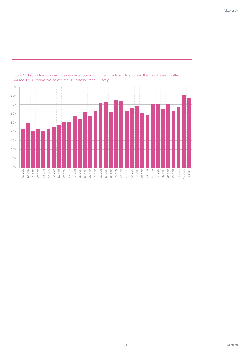

Figure 17: Proportion of small businesses successful in their credit applications in the past three months Source: FSB - Verve 'Voice of Small Business' Panel Survey.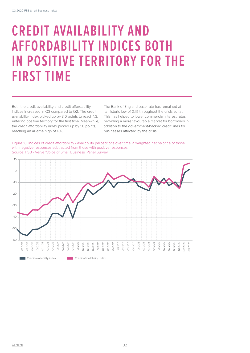### **CREDIT AVAILABILITY AND AFFORDABILITY INDICES BOTH IN POSITIVE TERRITORY FOR THE FIRST TIME**

Both the credit availability and credit affordability indices increased in Q3 compared to Q2. The credit availability index picked up by 3.0 points to reach 1.3, entering positive territory for the first time. Meanwhile, the credit affordability index picked up by 1.6 points, reaching an all-time high of 6.6.

The Bank of England base rate has remained at its historic low of 0.1% throughout the crisis so far. This has helped to lower commercial interest rates, providing a more favourable market for borrowers in addition to the government-backed credit lines for businesses affected by the crisis.

Figure 18: Indices of credit affordability / availability perceptions over time, a weighted net balance of those with negative responses subtracted from those with positive responses. Source: FSB - Verve 'Voice of Small Business' Panel Survey.

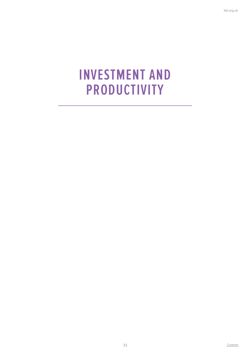#### **INVESTMENT AND PRODUCTIVITY**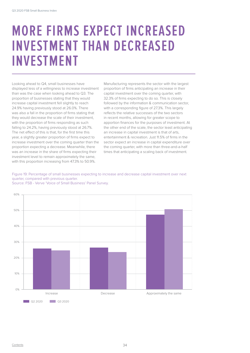#### **MORE FIRMS EXPECT INCREASED INVESTMENT THAN DECREASED INVESTMENT**

Looking ahead to Q4, small businesses have displayed less of a willingness to increase investment than was the case when looking ahead to Q3. The proportion of businesses stating that they would increase capital investment fell slightly to reach 24.9% having previously stood at 26.0%. There was also a fall in the proportion of firms stating that they would decrease the scale of their investment, with the proportion of firms responding as such falling to 24.2%, having previously stood at 26.7%. The net effect of this is that, for the first time this year, a slightly greater proportion of firms expect to increase investment over the coming quarter than the proportion expecting a decrease. Meanwhile, there was an increase in the share of firms expecting their investment level to remain approximately the same, with this proportion increasing from 47.3% to 50.9%.

Manufacturing represents the sector with the largest proportion of firms anticipating an increase in their capital investment over the coming quarter, with 32.3% of firms expecting to do so. This is closely followed by the information & communication sector, with a corresponding figure of 27.3%. This largely reflects the relative successes of the two sectors in recent months, allowing for greater scope to apportion finances for the purposes of investment. At the other end of the scale, the sector least anticipating an increase in capital investment is that of arts, entertainment & recreation. Just 11.5% of firms in the sector expect an increase in capital expenditure over the coming quarter, with more than three-and-a-half times that anticipating a scaling back of investment.

#### Figure 19: Percentage of small businesses expecting to increase and decrease capital investment over next quarter, compared with previous quarter.



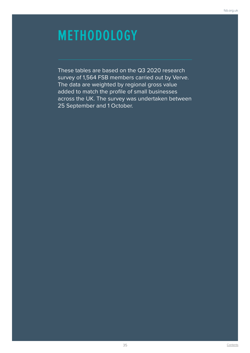### **METHODOLOGY**

These tables are based on the Q3 2020 research survey of 1,564 FSB members carried out by Verve. The data are weighted by regional gross value added to match the profile of small businesses across the UK. The survey was undertaken between 25 September and 1 October.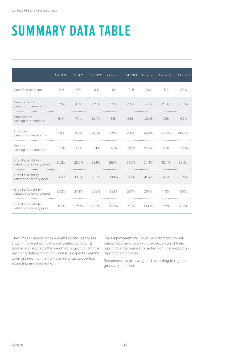# **SUMMARY DATA TABLE**

|                                                   | Q4 2018 | Q1 2019 | Q2 2019 | Q3 2019 | Q4 2019 | Q1 20 20 | Q2 2020  | Q3 2020  |
|---------------------------------------------------|---------|---------|---------|---------|---------|----------|----------|----------|
| Small Business Index                              | $-9.9$  | $-5.0$  | $-8.8$  | $-8.1$  | $-21.6$ | $-143.4$ | $-5.0$   | $-32.6$  |
| Employment -<br>previous three months             | 3.9%    | $-1.0%$ | $-1.5%$ | 1.9%    | $-1.5%$ | $-7.5%$  | $-19.0%$ | $-15.2%$ |
| Employment -<br>coming three months               | 5.1%    | 7.0%    | 10.2%   | 5.1%    | 3.5%    | $-28.0%$ | $-7.9%$  | $-6.7%$  |
| Exports -<br>previous three months                | 7.6%    | 6.8%    | $-5.8%$ | $-7.1%$ | $-1.6%$ | $-19.2%$ | $-52.8%$ | $-35.2%$ |
| Exports -<br>coming three months                  | 0.2%    | $-1.6%$ | 11.4%   | $-4.1%$ | $-9.5%$ | $-52.5%$ | $-12.8%$ | $-18.9%$ |
| Credit availability -<br>rated good or very good  | 30.2%   | 28.5%   | 28.9%   | 25.7%   | 27.5%   | 24.4%    | 38.4%    | 36.4%    |
| Credit availability -<br>rated poor or very poor  | 34.4%   | 39.0%   | 33.7%   | 39.4%   | 34.7%   | 41.6%    | 34.9%    | 30.9%    |
| Credit affordability -<br>rated good or very good | 32.2%   | 27.9%   | 27.3%   | 28.1%   | 28.1%   | 25.7%    | 41.8%    | 43.0%    |
| Credit affordability -<br>rated poor or very poor | 36.1%   | 37.9%   | 43.2%   | 33.8%   | 39.9%   | 44.0%    | 31.9%    | 28.3%    |

The Small Business Index weights strong responses (much improved or much deteriorated conditions) double and subtracts the weighted proportion of firms reporting deterioration in business prospects over the coming three months from the weighted proportion expecting an improvement.

The Employment and Revenue indicators are net percentage balances, with the proportion of firms reporting a decrease subtracted from the proportion reporting an increase.

Responses are also weighted according to regional gross value added.